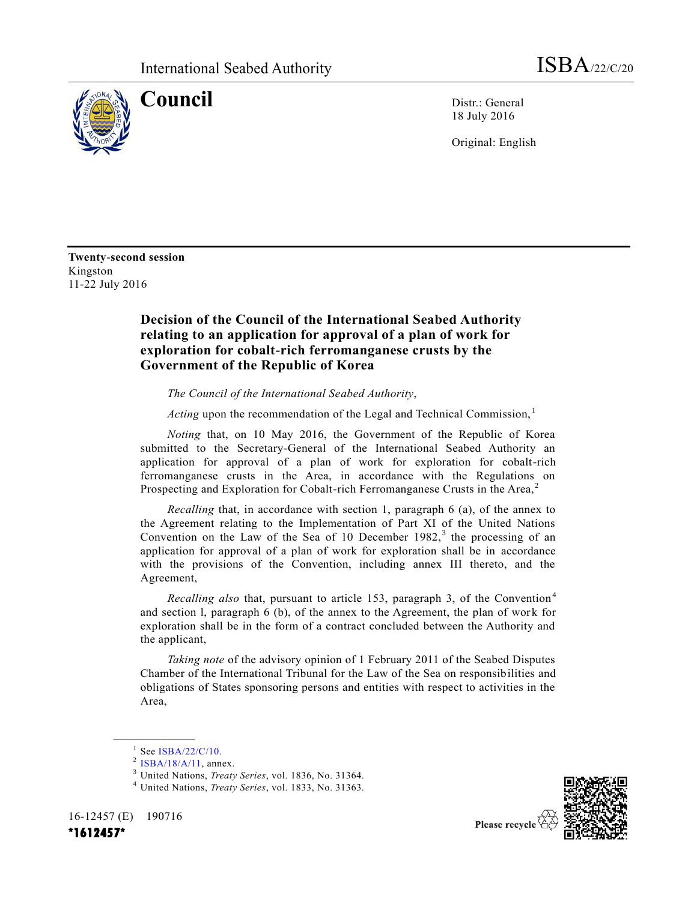

**Council** Distr.: General 18 July 2016

Original: English

**Twenty-second session** Kingston 11-22 July 2016

## **Decision of the Council of the International Seabed Authority relating to an application for approval of a plan of work for exploration for cobalt-rich ferromanganese crusts by the Government of the Republic of Korea**

*The Council of the International Seabed Authority*,

*Acting* upon the recommendation of the Legal and Technical Commission,<sup>1</sup>

*Noting* that, on 10 May 2016, the Government of the Republic of Korea submitted to the Secretary-General of the International Seabed Authority an application for approval of a plan of work for exploration for cobalt-rich ferromanganese crusts in the Area, in accordance with the Regulations on Prospecting and Exploration for Cobalt-rich Ferromanganese Crusts in the Area, $<sup>2</sup>$ </sup>

*Recalling* that, in accordance with section 1, paragraph 6 (a), of the annex to the Agreement relating to the Implementation of Part XI of the United Nations Convention on the Law of the Sea of 10 December  $1982$ ,<sup>3</sup> the processing of an application for approval of a plan of work for exploration shall be in accordance with the provisions of the Convention, including annex III thereto, and the Agreement,

*Recalling also* that, pursuant to article 153, paragraph 3, of the Convention<sup>4</sup> and section l, paragraph 6 (b), of the annex to the Agreement, the plan of work for exploration shall be in the form of a contract concluded between the Authority and the applicant,

*Taking note* of the advisory opinion of 1 February 2011 of the Seabed Disputes Chamber of the International Tribunal for the Law of the Sea on responsibilities and obligations of States sponsoring persons and entities with respect to activities in the Area,

**\_\_\_\_\_\_\_\_\_\_\_\_\_\_\_\_\_\_**



16-12457 (E) 190716

 $1$  See [ISBA/22/C/10.](http://undocs.org/ISBA/22/C/10)

 $2$  [ISBA/18/A/11,](http://undocs.org/ISBA/18/A/11) annex.

<sup>3</sup> United Nations, *Treaty Series*, vol. 1836, No. 31364.

<sup>4</sup> United Nations, *Treaty Series*, vol. 1833, No. 31363.